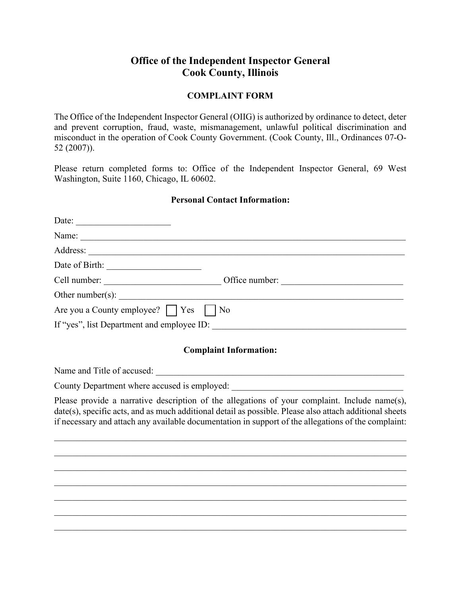## **Office of the Independent Inspector General Cook County, Illinois**

## **COMPLAINT FORM**

The Office of the Independent Inspector General (OIIG) is authorized by ordinance to detect, deter and prevent corruption, fraud, waste, mismanagement, unlawful political discrimination and misconduct in the operation of Cook County Government. (Cook County, Ill., Ordinances 07-O-52 (2007)).

Please return completed forms to: Office of the Independent Inspector General, 69 West Washington, Suite 1160, Chicago, IL 60602.

## **Personal Contact Information:**

| Date:                                      |                |
|--------------------------------------------|----------------|
|                                            |                |
|                                            |                |
| Date of Birth:                             |                |
| Cell number:                               | Office number: |
| Other number(s): $\qquad \qquad$           |                |
| Are you a County employee? Yes     No      |                |
| If "yes", list Department and employee ID: |                |

## **Complaint Information:**

Name and Title of accused: \_\_\_\_\_\_\_\_\_\_\_\_\_\_\_\_\_\_\_\_\_\_\_\_\_\_\_\_\_\_\_\_\_\_\_\_\_\_\_\_\_\_\_\_\_\_\_\_\_\_\_\_\_\_\_

County Department where accused is employed:

Please provide a narrative description of the allegations of your complaint. Include name(s), date(s), specific acts, and as much additional detail as possible. Please also attach additional sheets if necessary and attach any available documentation in support of the allegations of the complaint:

\_\_\_\_\_\_\_\_\_\_\_\_\_\_\_\_\_\_\_\_\_\_\_\_\_\_\_\_\_\_\_\_\_\_\_\_\_\_\_\_\_\_\_\_\_\_\_\_\_\_\_\_\_\_\_\_\_\_\_\_\_\_\_\_\_\_\_\_\_\_\_\_\_\_\_\_\_\_

\_\_\_\_\_\_\_\_\_\_\_\_\_\_\_\_\_\_\_\_\_\_\_\_\_\_\_\_\_\_\_\_\_\_\_\_\_\_\_\_\_\_\_\_\_\_\_\_\_\_\_\_\_\_\_\_\_\_\_\_\_\_\_\_\_\_\_\_\_\_\_\_\_\_\_\_\_\_

\_\_\_\_\_\_\_\_\_\_\_\_\_\_\_\_\_\_\_\_\_\_\_\_\_\_\_\_\_\_\_\_\_\_\_\_\_\_\_\_\_\_\_\_\_\_\_\_\_\_\_\_\_\_\_\_\_\_\_\_\_\_\_\_\_\_\_\_\_\_\_\_\_\_\_\_\_\_ \_\_\_\_\_\_\_\_\_\_\_\_\_\_\_\_\_\_\_\_\_\_\_\_\_\_\_\_\_\_\_\_\_\_\_\_\_\_\_\_\_\_\_\_\_\_\_\_\_\_\_\_\_\_\_\_\_\_\_\_\_\_\_\_\_\_\_\_\_\_\_\_\_\_\_\_\_\_